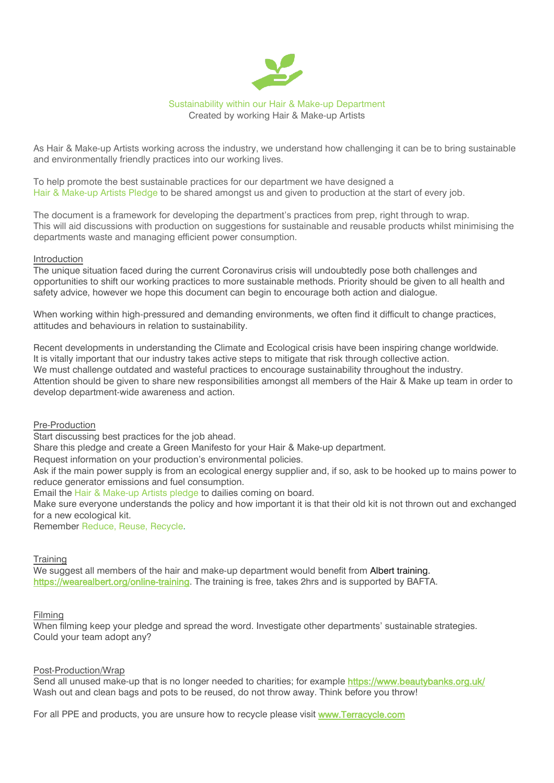# Sustainability within our Hair & Make-up Department Created by working Hair & Make-up Artists

As Hair & Make-up Artists working across the industry, we understand how challenging it can be to bring sustainable and environmentally friendly practices into our working lives.

To help promote the best sustainable practices for our department we have designed a Hair & Make-up Artists Pledge to be shared amongst us and given to production at the start of every job.

The document is a framework for developing the department's practices from prep, right through to wrap. This will aid discussions with production on suggestions for sustainable and reusable products whilst minimising the departments waste and managing efficient power consumption.

#### Introduction

The unique situation faced during the current Coronavirus crisis will undoubtedly pose both challenges and opportunities to shift our working practices to more sustainable methods. Priority should be given to all health and safety advice, however we hope this document can begin to encourage both action and dialogue.

When working within high-pressured and demanding environments, we often find it difficult to change practices, attitudes and behaviours in relation to sustainability.

Recent developments in understanding the Climate and Ecological crisis have been inspiring change worldwide. It is vitally important that our industry takes active steps to mitigate that risk through collective action. We must challenge outdated and wasteful practices to encourage sustainability throughout the industry. Attention should be given to share new responsibilities amongst all members of the Hair & Make up team in order to develop department-wide awareness and action.

Pre-Production

Start discussing best practices for the job ahead.

Share this pledge and create a Green Manifesto for your Hair & Make-up department.

Request information on your production's environmental policies.

Ask if the main power supply is from an ecological energy supplier and, if so, ask to be hooked up to mains power to reduce generator emissions and fuel consumption.

Email the Hair & Make-up Artists pledge to dailies coming on board.

Make sure everyone understands the policy and how important it is that their old kit is not thrown out and exchanged for a new ecological kit.

Remember Reduce, Reuse, Recycle.

# **Training**

We suggest all members of the hair and make-up department would benefit from Albert training. [https://wearealbert.org/online-training.](https://wearealbert.org/online-training) The training is free, takes 2hrs and is supported by BAFTA.

# Filming

When filming keep your pledge and spread the word. Investigate other departments' sustainable strategies. Could your team adopt any?

# Post-Production/Wrap

Send all unused make-up that is no longer needed to charities; for example https://www.beautybanks.org.uk/ Wash out and clean bags and pots to be reused, do not throw away. Think before you throw!

For all PPE and products, you are unsure how to recycle please visit [www.Terracycle.com](http://www.terracycle.com/)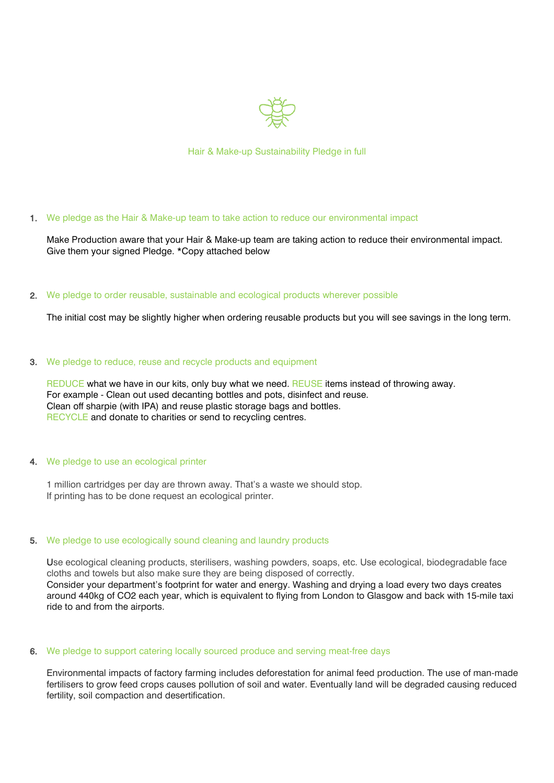

Hair & Make-up Sustainability Pledge in full

1. We pledge as the Hair & Make-up team to take action to reduce our environmental impact

Make Production aware that your Hair & Make-up team are taking action to reduce their environmental impact. Give them your signed Pledge. \*Copy attached below

#### 2. We pledge to order reusable, sustainable and ecological products wherever possible

The initial cost may be slightly higher when ordering reusable products but you will see savings in the long term.

#### 3. We pledge to reduce, reuse and recycle products and equipment

REDUCE what we have in our kits, only buy what we need. REUSE items instead of throwing away. For example - Clean out used decanting bottles and pots, disinfect and reuse. Clean off sharpie (with IPA) and reuse plastic storage bags and bottles. RECYCLE and donate to charities or send to recycling centres.

# We pledge to use an ecological printer

1 million cartridges per day are thrown away. That's a waste we should stop. If printing has to be done request an ecological printer.

# 5. We pledge to use ecologically sound cleaning and laundry products

Use ecological cleaning products, sterilisers, washing powders, soaps, etc. Use ecological, biodegradable face cloths and towels but also make sure they are being disposed of correctly. Consider your department's footprint for water and energy. Washing and drying a load every two days creates around 440kg of CO2 each year, which is equivalent to flying from London to Glasgow and back with 15-mile taxi ride to and from the airports.

#### 6. We pledge to support catering locally sourced produce and serving meat-free days

Environmental impacts of factory farming includes deforestation for animal feed production. The use of man-made fertilisers to grow feed crops causes pollution of soil and water. Eventually land will be degraded causing reduced fertility, soil compaction and desertification.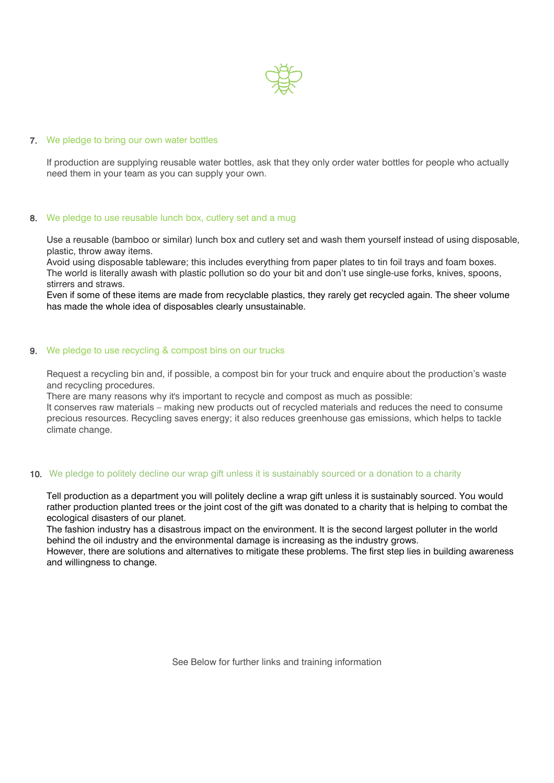

#### 7. We pledge to bring our own water bottles

If production are supplying reusable water bottles, ask that they only order water bottles for people who actually need them in your team as you can supply your own.

#### 8. We pledge to use reusable lunch box, cutlery set and a mug

Use a reusable (bamboo or similar) lunch box and cutlery set and wash them yourself instead of using disposable, plastic, throw away items.

Avoid using disposable tableware; this includes everything from paper plates to tin foil trays and foam boxes. The world is literally awash with plastic pollution so do your bit and don't use single-use forks, knives, spoons, stirrers and straws.

Even if some of these items are made from recyclable plastics, they rarely get recycled again. The sheer volume has made the whole idea of disposables clearly unsustainable.

#### 9. We pledge to use recycling & compost bins on our trucks

Request a recycling bin and, if possible, a compost bin for your truck and enquire about the production's waste and recycling procedures.

There are many reasons why it's important to recycle and compost as much as possible:

It conserves raw materials – making new products out of recycled materials and reduces the need to consume precious resources. Recycling saves energy; it also reduces greenhouse gas emissions, which helps to tackle climate change.

# 10. We pledge to politely decline our wrap gift unless it is sustainably sourced or a donation to a charity

Tell production as a department you will politely decline a wrap gift unless it is sustainably sourced. You would rather production planted trees or the joint cost of the gift was donated to a charity that is helping to combat the ecological disasters of our planet.

The fashion industry has a disastrous impact on the environment. It is the second largest polluter in the world behind the oil industry and the environmental damage is increasing as the industry grows.

However, there are solutions and alternatives to mitigate these problems. The first step lies in building awareness and willingness to change.

See Below for further links and training information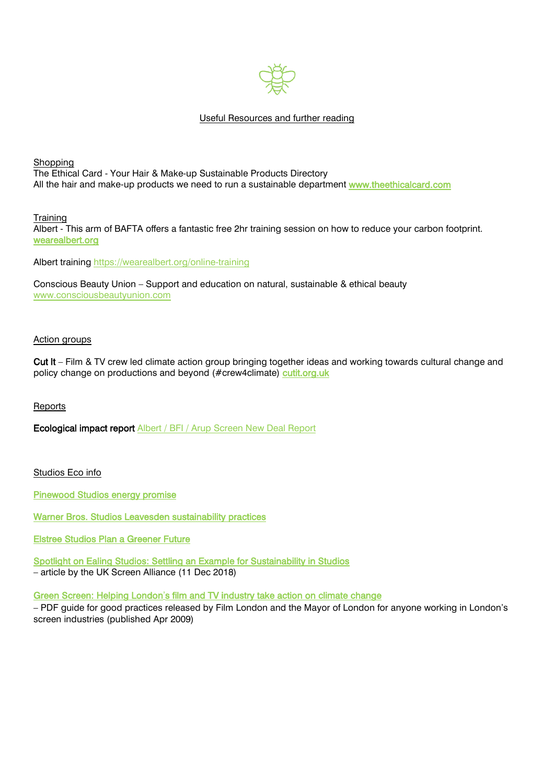

# Useful Resources and further reading

**Shopping** The Ethical Card - Your Hair & Make-up Sustainable Products Directory All the hair and make-up products we need to run a sustainable department [www.theethicalcard.com](http://www.theethicalcard.com/)

**Training** 

Albert - This arm of BAFTA offers a fantastic free 2hr training session on how to reduce your carbon footprint. [wearealbert.org](http://wearealbert.org/)

Albert training <https://wearealbert.org/online-training>

Conscious Beauty Union – Support and education on natural, sustainable & ethical beauty [www.consciousbeautyunion.com](http://www.consciousbeautyunion.com/)

### Action groups

[Cut It](https://cutit.org.uk/) – Film & TV crew led climate action group bringing together ideas and working towards cultural change and policy change on productions and beyond (#crew4climate) [cutit.org.uk](http://cutit.org.uk/) 

Reports

Ecological impact report Albert / BFI / Arup [Screen](https://wearealbert.org/2020/07/22/screen-new-deal/) New Deal Report

Studios Eco info

[Pinewood Studios energy promise](https://www.pinewoodgroup.com/pinewood-today/sustainability-energy) 

[Warner Bros. Studios Leavesden sustainability practices](https://www.wbsl.com/studios/about/sustainability) 

[Elstree Studios Plan a Greener Future](https://www.elstreestudios.co.uk/2019/10/elstree-studios-plan-greener-future/) 

[Spotlight on Ealing Studios: Settling an Example for Sustainability in Studios](https://www.ukscreenalliance.co.uk/news/spotlight-on-ealing-studios-setting-an-example-for-sustainability-in-studios/) – article by the UK Screen Alliance (11 Dec 2018)

Green Screen: Helping London'[s film and TV industry take action on climate change](https://www.london.gov.uk/sites/default/files/green_screen.pdf)

– PDF guide for good practices released by Film London and the Mayor of London for anyone working in London's screen industries (published Apr 2009)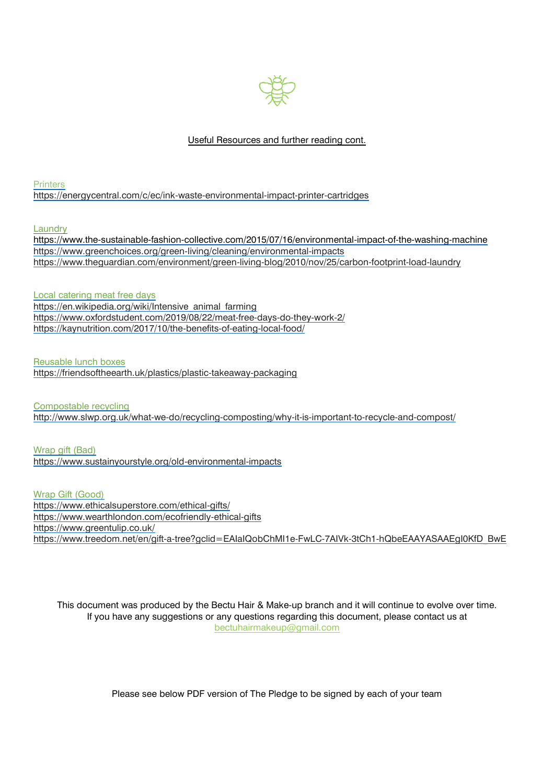

# Useful Resources and further reading cont.

**Printers** <https://energycentral.com/c/ec/ink-waste-environmental-impact-printer-cartridges>

Laundry

<https://www.the-sustainable-fashion-collective.com/2015/07/16/environmental-impact-of-the-washing-machine> <https://www.greenchoices.org/green-living/cleaning/environmental-impacts> <https://www.theguardian.com/environment/green-living-blog/2010/nov/25/carbon-footprint-load-laundry>

Local catering meat free days [https://en.wikipedia.org/wiki/Intensive\\_animal\\_farming](https://en.wikipedia.org/wiki/Intensive_animal_farming) <https://www.oxfordstudent.com/2019/08/22/meat-free-days-do-they-work-2/> https://kaynutrition.com/2017/10/the-benefits-of-eating-local-food/

Reusable lunch boxes <https://friendsoftheearth.uk/plastics/plastic-takeaway-packaging>

Compostable recycling <http://www.slwp.org.uk/what-we-do/recycling-composting/why-it-is-important-to-recycle-and-compost/>

Wrap gift (Bad) <https://www.sustainyourstyle.org/old-environmental-impacts>

Wrap Gift (Good) <https://www.ethicalsuperstore.com/ethical-gifts/> <https://www.wearthlondon.com/ecofriendly-ethical-gifts> <https://www.greentulip.co.uk/> [https://www.treedom.net/en/gift-a-tree?gclid=EAIaIQobChMI1e-FwLC-7AIVk-3tCh1-hQbeEAAYASAAEgI0KfD\\_BwE](https://www.treedom.net/en/gift-a-tree?gclid=EAIaIQobChMI1e-FwLC-7AIVk-3tCh1-hQbeEAAYASAAEgI0KfD_BwE)

This document was produced by the Bectu Hair & Make-up branch and it will continue to evolve over time. If you have any suggestions or any questions regarding this document, please contact us at [bectuhairmakeup@gmail.com](mailto:bectuhairmakeup@gmail.com)

Please see below PDF version of The Pledge to be signed by each of your team